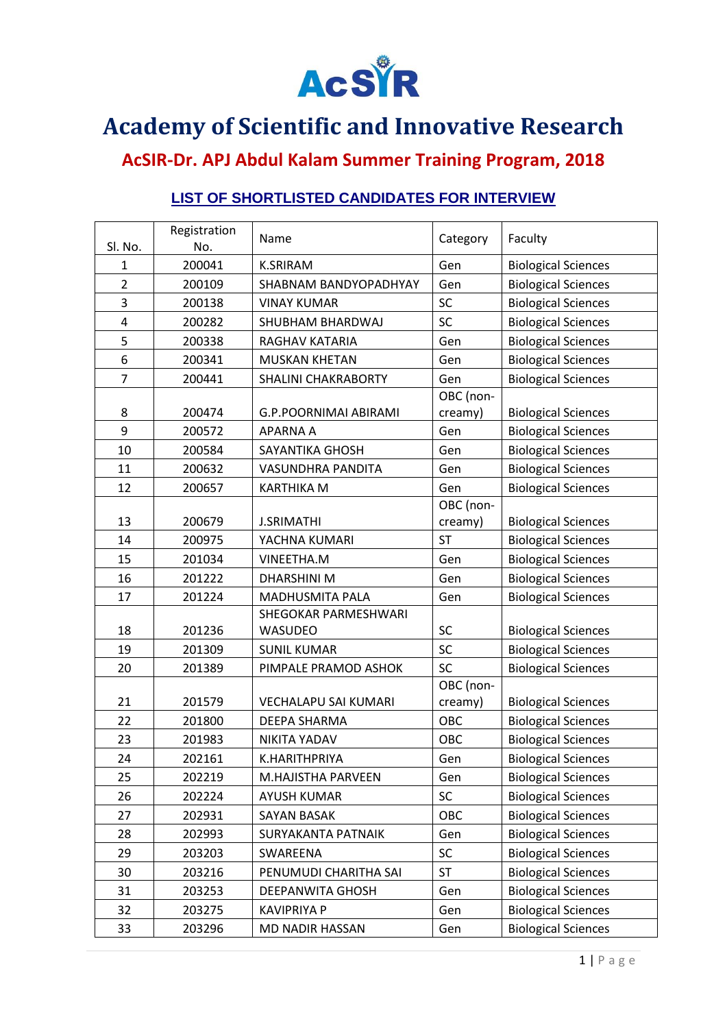

## **Academy of Scientific and Innovative Research**

## **AcSIR-Dr. APJ Abdul Kalam Summer Training Program, 2018**

## **LIST OF SHORTLISTED CANDIDATES FOR INTERVIEW**

| Sl. No.        | Registration<br>No. | Name                       | Category  | Faculty                    |
|----------------|---------------------|----------------------------|-----------|----------------------------|
| 1              | 200041              | <b>K.SRIRAM</b>            | Gen       | <b>Biological Sciences</b> |
| $\overline{2}$ | 200109              | SHABNAM BANDYOPADHYAY      | Gen       | <b>Biological Sciences</b> |
| 3              | 200138              | <b>VINAY KUMAR</b>         | SC        | <b>Biological Sciences</b> |
| 4              | 200282              | SHUBHAM BHARDWAJ           | SC        | <b>Biological Sciences</b> |
| 5              | 200338              | RAGHAV KATARIA             | Gen       | <b>Biological Sciences</b> |
| 6              | 200341              | MUSKAN KHETAN              | Gen       | <b>Biological Sciences</b> |
| $\overline{7}$ | 200441              | <b>SHALINI CHAKRABORTY</b> | Gen       | <b>Biological Sciences</b> |
|                |                     |                            | OBC (non- |                            |
| 8              | 200474              | G.P.POORNIMAI ABIRAMI      | creamy)   | <b>Biological Sciences</b> |
| 9              | 200572              | <b>APARNA A</b>            | Gen       | <b>Biological Sciences</b> |
| 10             | 200584              | SAYANTIKA GHOSH            | Gen       | <b>Biological Sciences</b> |
| 11             | 200632              | VASUNDHRA PANDITA          | Gen       | <b>Biological Sciences</b> |
| 12             | 200657              | <b>KARTHIKA M</b>          | Gen       | <b>Biological Sciences</b> |
|                |                     |                            | OBC (non- |                            |
| 13             | 200679              | <b>J.SRIMATHI</b>          | creamy)   | <b>Biological Sciences</b> |
| 14             | 200975              | YACHNA KUMARI              | <b>ST</b> | <b>Biological Sciences</b> |
| 15             | 201034              | VINEETHA.M                 | Gen       | <b>Biological Sciences</b> |
| 16             | 201222              | <b>DHARSHINI M</b>         | Gen       | <b>Biological Sciences</b> |
| 17             | 201224              | MADHUSMITA PALA            | Gen       | <b>Biological Sciences</b> |
|                |                     | SHEGOKAR PARMESHWARI       |           |                            |
| 18             | 201236              | <b>WASUDEO</b>             | SC        | <b>Biological Sciences</b> |
| 19             | 201309              | <b>SUNIL KUMAR</b>         | SC        | <b>Biological Sciences</b> |
| 20             | 201389              | PIMPALE PRAMOD ASHOK       | <b>SC</b> | <b>Biological Sciences</b> |
|                |                     |                            | OBC (non- |                            |
| 21             | 201579              | VECHALAPU SAI KUMARI       | creamy)   | <b>Biological Sciences</b> |
| 22             | 201800              | DEEPA SHARMA               | OBC       | <b>Biological Sciences</b> |
| 23             | 201983              | NIKITA YADAV               | OBC       | <b>Biological Sciences</b> |
| 24             | 202161              | K.HARITHPRIYA              | Gen       | <b>Biological Sciences</b> |
| 25             | 202219              | M.HAJISTHA PARVEEN         | Gen       | <b>Biological Sciences</b> |
| 26             | 202224              | <b>AYUSH KUMAR</b>         | SC        | <b>Biological Sciences</b> |
| 27             | 202931              | <b>SAYAN BASAK</b>         | OBC       | <b>Biological Sciences</b> |
| 28             | 202993              | SURYAKANTA PATNAIK         | Gen       | <b>Biological Sciences</b> |
| 29             | 203203              | SWAREENA                   | SC        | <b>Biological Sciences</b> |
| 30             | 203216              | PENUMUDI CHARITHA SAI      | <b>ST</b> | <b>Biological Sciences</b> |
| 31             | 203253              | <b>DEEPANWITA GHOSH</b>    | Gen       | <b>Biological Sciences</b> |
| 32             | 203275              | <b>KAVIPRIYA P</b>         | Gen       | <b>Biological Sciences</b> |
| 33             | 203296              | MD NADIR HASSAN            | Gen       | <b>Biological Sciences</b> |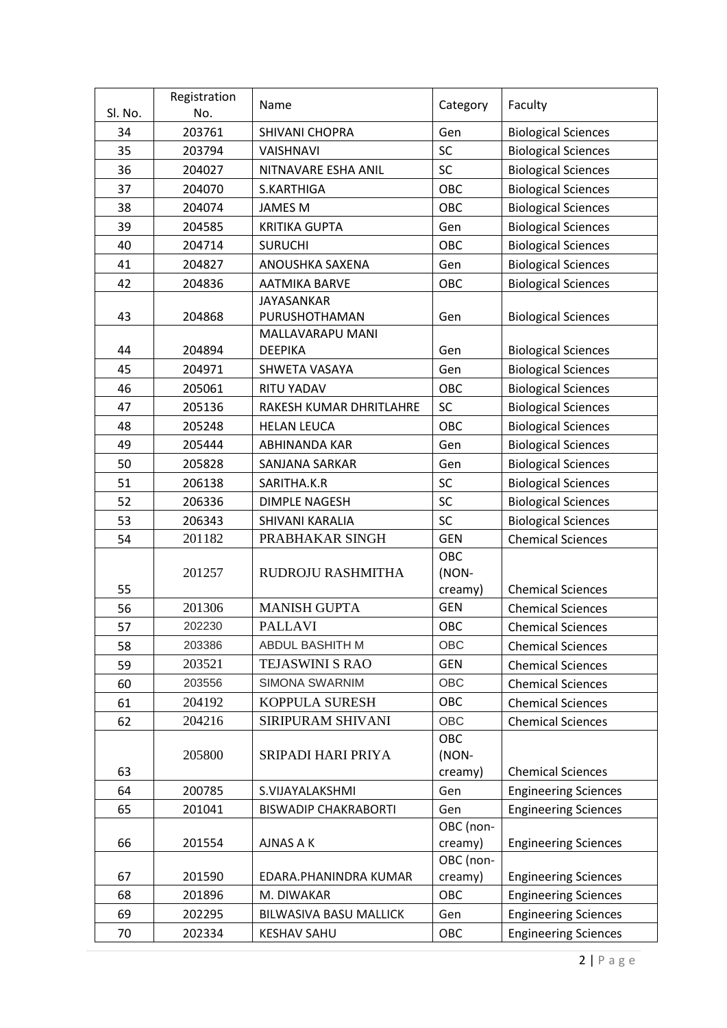| Sl. No.  | Registration<br>No. | Name                                      | Category         | Faculty                     |
|----------|---------------------|-------------------------------------------|------------------|-----------------------------|
| 34       | 203761              | SHIVANI CHOPRA                            | Gen              | <b>Biological Sciences</b>  |
| 35       | 203794              | <b>VAISHNAVI</b>                          | <b>SC</b>        | <b>Biological Sciences</b>  |
| 36       | 204027              | NITNAVARE ESHA ANIL                       | SC               | <b>Biological Sciences</b>  |
| 37       | 204070              | S.KARTHIGA                                | OBC              | <b>Biological Sciences</b>  |
| 38       | 204074              | <b>JAMES M</b>                            | OBC              |                             |
| 39       | 204585              |                                           | Gen              | <b>Biological Sciences</b>  |
|          |                     | <b>KRITIKA GUPTA</b>                      |                  | <b>Biological Sciences</b>  |
| 40       | 204714              | <b>SURUCHI</b>                            | OBC              | <b>Biological Sciences</b>  |
| 41<br>42 | 204827              | ANOUSHKA SAXENA                           | Gen              | <b>Biological Sciences</b>  |
|          | 204836              | <b>AATMIKA BARVE</b><br><b>JAYASANKAR</b> | OBC              | <b>Biological Sciences</b>  |
| 43       | 204868              | PURUSHOTHAMAN                             | Gen              | <b>Biological Sciences</b>  |
|          |                     | MALLAVARAPU MANI                          |                  |                             |
| 44       | 204894              | <b>DEEPIKA</b>                            | Gen              | <b>Biological Sciences</b>  |
| 45       | 204971              | SHWETA VASAYA                             | Gen              | <b>Biological Sciences</b>  |
| 46       | 205061              | <b>RITU YADAV</b>                         | OBC              | <b>Biological Sciences</b>  |
| 47       | 205136              | RAKESH KUMAR DHRITLAHRE                   | <b>SC</b>        | <b>Biological Sciences</b>  |
| 48       | 205248              | <b>HELAN LEUCA</b>                        | <b>OBC</b>       | <b>Biological Sciences</b>  |
| 49       | 205444              | ABHINANDA KAR                             | Gen              | <b>Biological Sciences</b>  |
| 50       | 205828              | SANJANA SARKAR                            | Gen              | <b>Biological Sciences</b>  |
| 51       | 206138              | SARITHA.K.R                               | <b>SC</b>        | <b>Biological Sciences</b>  |
| 52       | 206336              | <b>DIMPLE NAGESH</b>                      | SC               | <b>Biological Sciences</b>  |
| 53       | 206343              | SHIVANI KARALIA                           | SC               | <b>Biological Sciences</b>  |
| 54       | 201182              | PRABHAKAR SINGH                           | <b>GEN</b>       | <b>Chemical Sciences</b>    |
|          |                     |                                           | OBC              |                             |
|          | 201257              | RUDROJU RASHMITHA                         | (NON-            |                             |
| 55       |                     |                                           | creamy)          | <b>Chemical Sciences</b>    |
| 56       | 201306              | <b>MANISH GUPTA</b>                       | <b>GEN</b>       | <b>Chemical Sciences</b>    |
| 57       | 202230              | <b>PALLAVI</b>                            | OBC              | <b>Chemical Sciences</b>    |
| 58       | 203386              | ABDUL BASHITH M                           | OBC              | <b>Chemical Sciences</b>    |
| 59       | 203521              | <b>TEJASWINI S RAO</b>                    | <b>GEN</b>       | <b>Chemical Sciences</b>    |
| 60       | 203556              | SIMONA SWARNIM                            | OBC              | <b>Chemical Sciences</b>    |
| 61       | 204192              | KOPPULA SURESH                            | OBC              | <b>Chemical Sciences</b>    |
| 62       | 204216              | SIRIPURAM SHIVANI                         | OBC              | <b>Chemical Sciences</b>    |
|          |                     |                                           | OBC              |                             |
|          | 205800              | SRIPADI HARI PRIYA                        | (NON-            | <b>Chemical Sciences</b>    |
| 63<br>64 | 200785              |                                           | creamy)<br>Gen   |                             |
|          |                     | S.VIJAYALAKSHMI                           |                  | <b>Engineering Sciences</b> |
| 65       | 201041              | <b>BISWADIP CHAKRABORTI</b>               | Gen<br>OBC (non- | <b>Engineering Sciences</b> |
| 66       | 201554              | <b>AJNAS A K</b>                          | creamy)          | <b>Engineering Sciences</b> |
|          |                     |                                           | OBC (non-        |                             |
| 67       | 201590              | EDARA.PHANINDRA KUMAR                     | creamy)          | <b>Engineering Sciences</b> |
| 68       | 201896              | M. DIWAKAR                                | OBC              | <b>Engineering Sciences</b> |
| 69       | 202295              | BILWASIVA BASU MALLICK                    | Gen              | <b>Engineering Sciences</b> |
| 70       | 202334              | <b>KESHAV SAHU</b>                        | OBC              | <b>Engineering Sciences</b> |